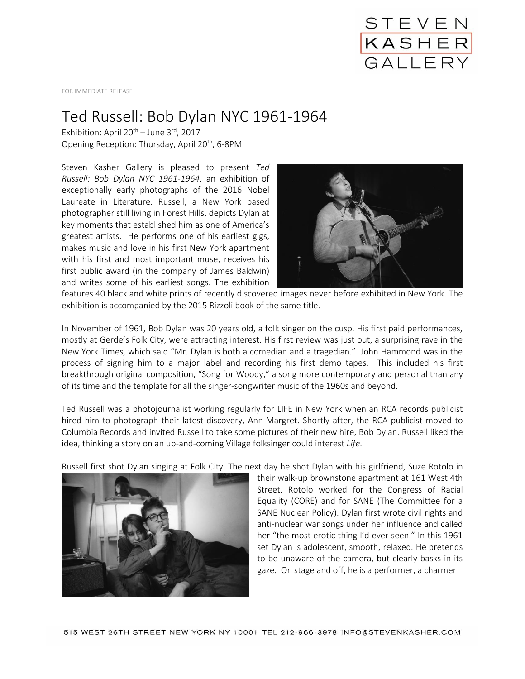

FOR IMMEDIATE RELEASE

## Ted Russell: Bob Dylan NYC 1961-1964

Exhibition: April  $20^{th}$  – June 3<sup>rd</sup>, 2017 Opening Reception: Thursday, April 20<sup>th</sup>, 6-8PM

Steven Kasher Gallery is pleased to present *Ted Russell: Bob Dylan NYC 1961-1964*, an exhibition of exceptionally early photographs of the 2016 Nobel Laureate in Literature. Russell, a New York based photographer still living in Forest Hills, depicts Dylan at key moments that established him as one of America's greatest artists. He performs one of his earliest gigs, makes music and love in his first New York apartment with his first and most important muse, receives his first public award (in the company of James Baldwin) and writes some of his earliest songs. The exhibition



features 40 black and white prints of recently discovered images never before exhibited in New York. The exhibition is accompanied by the 2015 Rizzoli book of the same title.

In November of 1961, Bob Dylan was 20 years old, a folk singer on the cusp. His first paid performances, mostly at Gerde's Folk City, were attracting interest. His first review was just out, a surprising rave in the New York Times, which said "Mr. Dylan is both a comedian and a tragedian." John Hammond was in the process of signing him to a major label and recording his first demo tapes. This included his first breakthrough original composition, "Song for Woody," a song more contemporary and personal than any of its time and the template for all the singer-songwriter music of the 1960s and beyond.

Ted Russell was a photojournalist working regularly for LIFE in New York when an RCA records publicist hired him to photograph their latest discovery, Ann Margret. Shortly after, the RCA publicist moved to Columbia Records and invited Russell to take some pictures of their new hire, Bob Dylan. Russell liked the idea, thinking a story on an up-and-coming Village folksinger could interest *Life*.

Russell first shot Dylan singing at Folk City. The next day he shot Dylan with his girlfriend, Suze Rotolo in



their walk-up brownstone apartment at 161 West 4th Street. Rotolo worked for the Congress of Racial Equality (CORE) and for SANE (The Committee for a SANE Nuclear Policy). Dylan first wrote civil rights and anti-nuclear war songs under her influence and called her "the most erotic thing I'd ever seen." In this 1961 set Dylan is adolescent, smooth, relaxed. He pretends to be unaware of the camera, but clearly basks in its gaze. On stage and off, he is a performer, a charmer